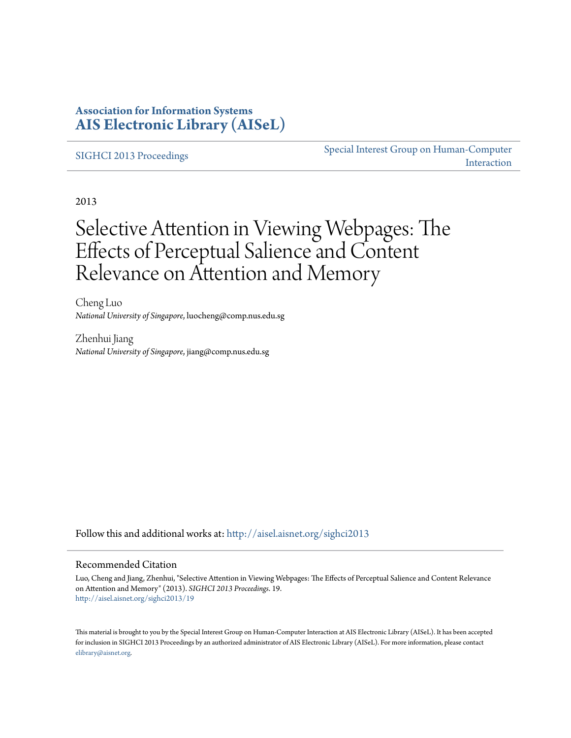### **Association for Information Systems [AIS Electronic Library \(AISeL\)](http://aisel.aisnet.org?utm_source=aisel.aisnet.org%2Fsighci2013%2F19&utm_medium=PDF&utm_campaign=PDFCoverPages)**

#### [SIGHCI 2013 Proceedings](http://aisel.aisnet.org/sighci2013?utm_source=aisel.aisnet.org%2Fsighci2013%2F19&utm_medium=PDF&utm_campaign=PDFCoverPages)

[Special Interest Group on Human-Computer](http://aisel.aisnet.org/sighci?utm_source=aisel.aisnet.org%2Fsighci2013%2F19&utm_medium=PDF&utm_campaign=PDFCoverPages) [Interaction](http://aisel.aisnet.org/sighci?utm_source=aisel.aisnet.org%2Fsighci2013%2F19&utm_medium=PDF&utm_campaign=PDFCoverPages)

2013

# Selective Attention in Viewing Webpages: The Effects of Perceptual Salience and Content Relevance on Attention and Memory

Cheng Luo *National University of Singapore*, luocheng@comp.nus.edu.sg

Zhenhui Jiang *National University of Singapore*, jiang@comp.nus.edu.sg

Follow this and additional works at: [http://aisel.aisnet.org/sighci2013](http://aisel.aisnet.org/sighci2013?utm_source=aisel.aisnet.org%2Fsighci2013%2F19&utm_medium=PDF&utm_campaign=PDFCoverPages)

#### Recommended Citation

Luo, Cheng and Jiang, Zhenhui, "Selective Attention in Viewing Webpages: The Effects of Perceptual Salience and Content Relevance on Attention and Memory" (2013). *SIGHCI 2013 Proceedings*. 19. [http://aisel.aisnet.org/sighci2013/19](http://aisel.aisnet.org/sighci2013/19?utm_source=aisel.aisnet.org%2Fsighci2013%2F19&utm_medium=PDF&utm_campaign=PDFCoverPages)

This material is brought to you by the Special Interest Group on Human-Computer Interaction at AIS Electronic Library (AISeL). It has been accepted for inclusion in SIGHCI 2013 Proceedings by an authorized administrator of AIS Electronic Library (AISeL). For more information, please contact [elibrary@aisnet.org.](mailto:elibrary@aisnet.org%3E)